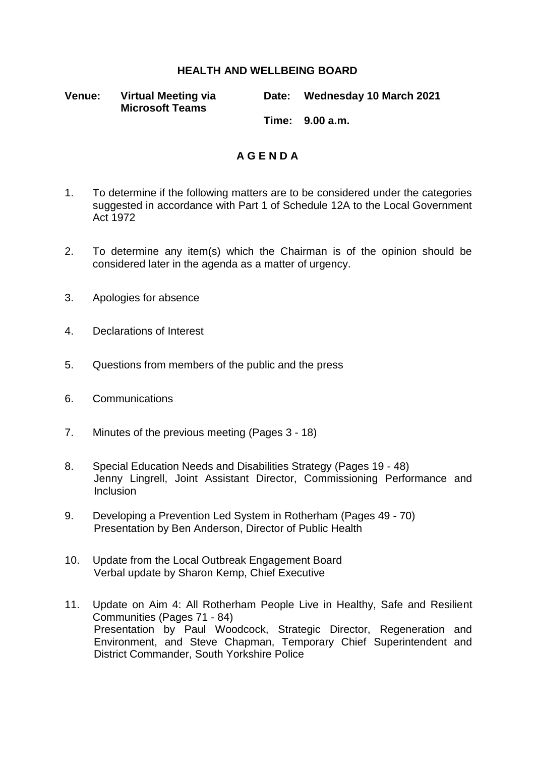## **HEALTH AND WELLBEING BOARD**

**Venue: Virtual Meeting via Microsoft Teams**

**Date: Wednesday 10 March 2021**

**Time: 9.00 a.m.**

## **A G E N D A**

- 1. To determine if the following matters are to be considered under the categories suggested in accordance with Part 1 of Schedule 12A to the Local Government Act 1972
- 2. To determine any item(s) which the Chairman is of the opinion should be considered later in the agenda as a matter of urgency.
- 3. Apologies for absence
- 4. Declarations of Interest
- 5. Questions from members of the public and the press
- 6. Communications
- 7. Minutes of the previous meeting (Pages 3 18)
- 8. Special Education Needs and Disabilities Strategy (Pages 19 48) Jenny Lingrell, Joint Assistant Director, Commissioning Performance and Inclusion
- 9. Developing a Prevention Led System in Rotherham (Pages 49 70) Presentation by Ben Anderson, Director of Public Health
- 10. Update from the Local Outbreak Engagement Board Verbal update by Sharon Kemp, Chief Executive
- 11. Update on Aim 4: All Rotherham People Live in Healthy, Safe and Resilient Communities (Pages 71 - 84) Presentation by Paul Woodcock, Strategic Director, Regeneration and Environment, and Steve Chapman, Temporary Chief Superintendent and District Commander, South Yorkshire Police